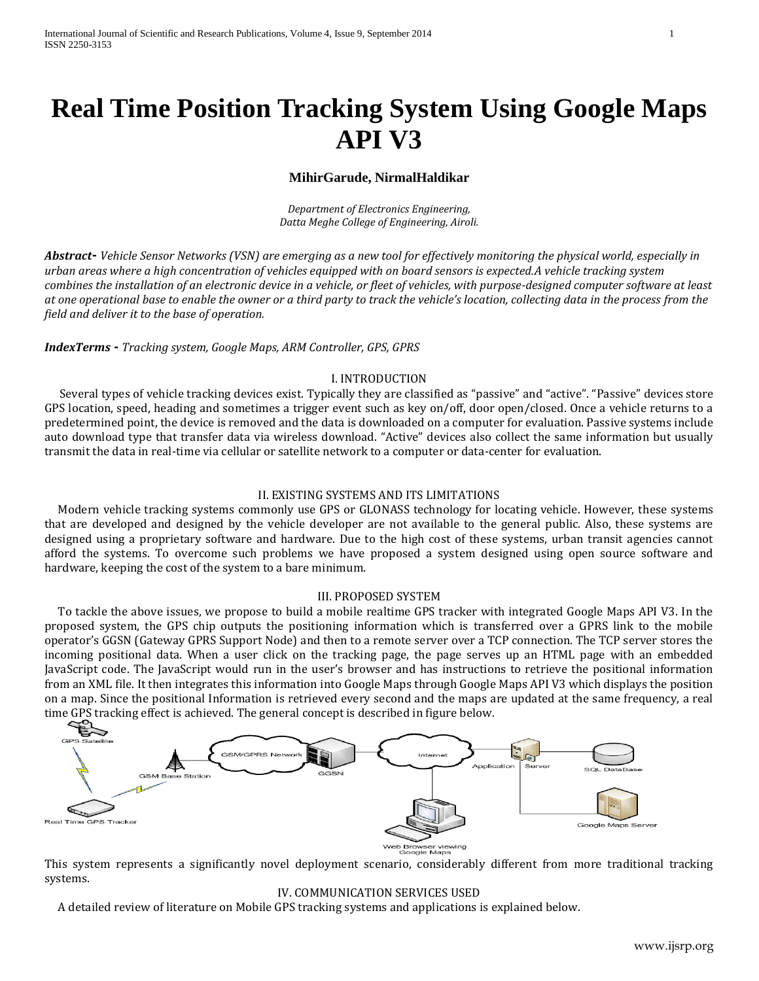# **Real Time Position Tracking System Using Google Maps API V3**

## **MihirGarude, NirmalHaldikar**

*Department of Electronics Engineering, Datta Meghe College of Engineering, Airoli.*

*Abstract***-** *Vehicle Sensor Networks (VSN) are emerging as a new tool for effectively monitoring the physical world, especially in urban areas where a high concentration of vehicles equipped with on board sensors is expected.A vehicle tracking system combines the installation of an electronic device in a vehicle, or fleet of vehicles, with purpose-designed computer software at least at one operational base to enable the owner or a third party to track the vehicle's location, collecting data in the process from the field and deliver it to the base of operation.*

## *IndexTerms* **-** *Tracking system, Google Maps, ARM Controller, GPS, GPRS*

### I. INTRODUCTION

Several types of vehicle tracking devices exist. Typically they are classified as "passive" and "active". "Passive" devices store GPS location, speed, heading and sometimes a trigger event such as key on/off, door open/closed. Once a vehicle returns to a predetermined point, the device is removed and the data is downloaded on a computer for evaluation. Passive systems include auto download type that transfer data via wireless download. "Active" devices also collect the same information but usually transmit the data in real-time via cellular or satellite network to a computer or data-center for evaluation.

### II. EXISTING SYSTEMS AND ITS LIMITATIONS

 Modern vehicle tracking systems commonly use GPS or GLONASS technology for locating vehicle. However, these systems that are developed and designed by the vehicle developer are not available to the general public. Also, these systems are designed using a proprietary software and hardware. Due to the high cost of these systems, urban transit agencies cannot afford the systems. To overcome such problems we have proposed a system designed using open source software and hardware, keeping the cost of the system to a bare minimum.

#### III. PROPOSED SYSTEM

 To tackle the above issues, we propose to build a mobile realtime GPS tracker with integrated Google Maps API V3. In the proposed system, the GPS chip outputs the positioning information which is transferred over a GPRS link to the mobile operator's GGSN (Gateway GPRS Support Node) and then to a remote server over a TCP connection. The TCP server stores the incoming positional data. When a user click on the tracking page, the page serves up an HTML page with an embedded JavaScript code. The JavaScript would run in the user's browser and has instructions to retrieve the positional information from an XML file. It then integrates this information into Google Maps through Google Maps API V3 which displays the position on a map. Since the positional Information is retrieved every second and the maps are updated at the same frequency, a real time GPS tracking effect is achieved. The general concept is described in figure below.



ile Mar

This system represents a significantly novel deployment scenario, considerably different from more traditional tracking systems.

## IV. COMMUNICATION SERVICES USED

A detailed review of literature on Mobile GPS tracking systems and applications is explained below.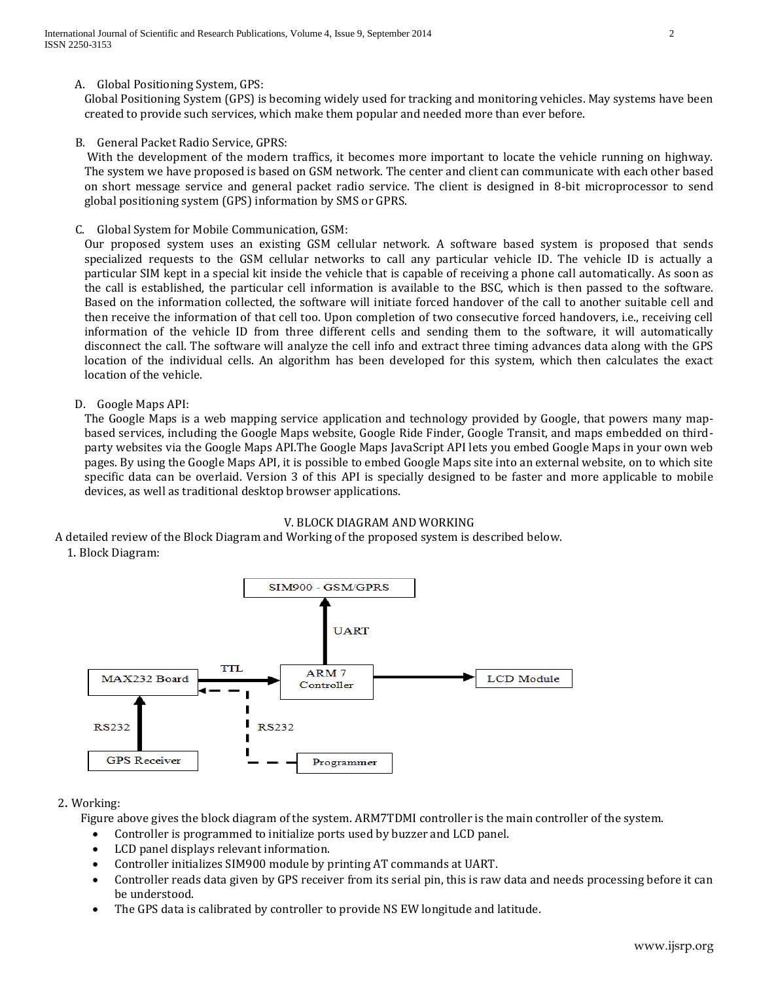Global Positioning System (GPS) is becoming widely used for tracking and monitoring vehicles. May systems have been created to provide such services, which make them popular and needed more than ever before.

B. General Packet Radio Service, GPRS:

With the development of the modern traffics, it becomes more important to locate the vehicle running on highway. The system we have proposed is based on GSM network. The center and client can communicate with each other based on short message service and general packet radio service. The client is designed in 8-bit microprocessor to send global positioning system (GPS) information by SMS or GPRS.

C. Global System for Mobile Communication, GSM:

Our proposed system uses an existing GSM cellular network. A software based system is proposed that sends specialized requests to the GSM cellular networks to call any particular vehicle ID. The vehicle ID is actually a particular SIM kept in a special kit inside the vehicle that is capable of receiving a phone call automatically. As soon as the call is established, the particular cell information is available to the BSC, which is then passed to the software. Based on the information collected, the software will initiate forced handover of the call to another suitable cell and then receive the information of that cell too. Upon completion of two consecutive forced handovers, i.e., receiving cell information of the vehicle ID from three different cells and sending them to the software, it will automatically disconnect the call. The software will analyze the cell info and extract three timing advances data along with the GPS location of the individual cells. An algorithm has been developed for this system, which then calculates the exact location of the vehicle.

D. Google Maps API:

The Google Maps is a web mapping service application and technology provided by Google, that powers many mapbased services, including the Google Maps website, Google Ride Finder, Google Transit, and maps embedded on thirdparty websites via the Google Maps API.The Google Maps JavaScript API lets you embed Google Maps in your own web pages. By using the Google Maps API, it is possible to embed Google Maps site into an external website, on to which site specific data can be overlaid. Version 3 of this API is specially designed to be faster and more applicable to mobile devices, as well as traditional desktop browser applications.

#### V. BLOCK DIAGRAM AND WORKING

A detailed review of the Block Diagram and Working of the proposed system is described below.





## 2. Working:

Figure above gives the block diagram of the system. ARM7TDMI controller is the main controller of the system.

- Controller is programmed to initialize ports used by buzzer and LCD panel.
- LCD panel displays relevant information.
- Controller initializes SIM900 module by printing AT commands at UART.
- Controller reads data given by GPS receiver from its serial pin, this is raw data and needs processing before it can be understood.
- The GPS data is calibrated by controller to provide NS EW longitude and latitude.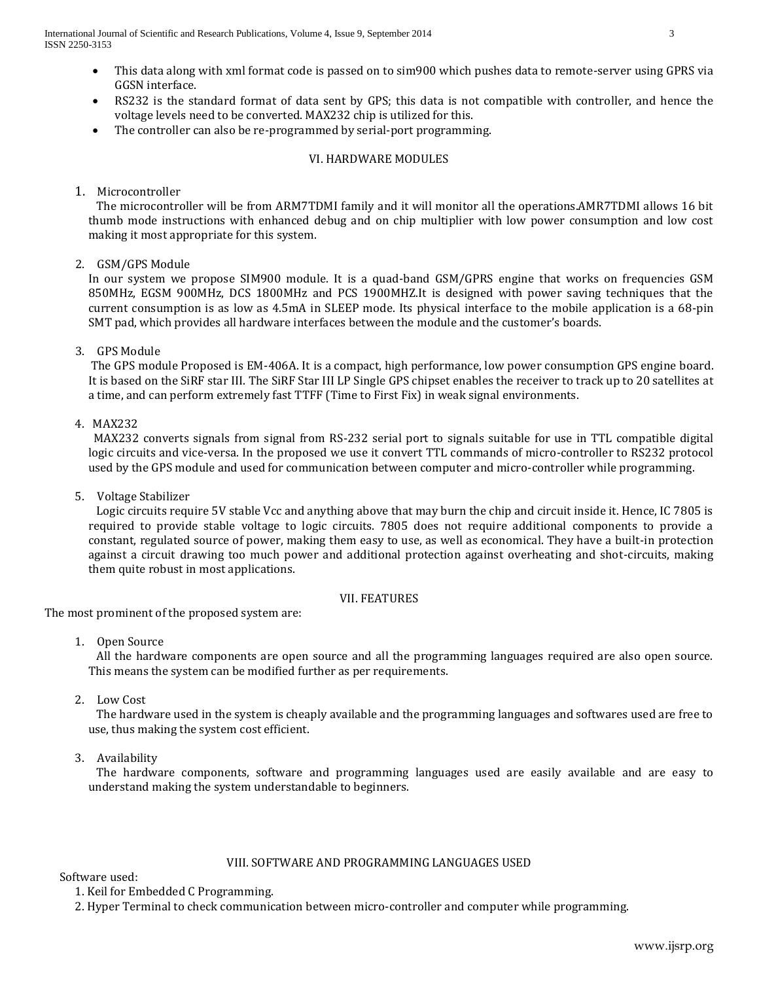- This data along with xml format code is passed on to sim900 which pushes data to remote-server using GPRS via GGSN interface.
- RS232 is the standard format of data sent by GPS; this data is not compatible with controller, and hence the voltage levels need to be converted. MAX232 chip is utilized for this.
- The controller can also be re-programmed by serial-port programming.

## VI. HARDWARE MODULES

1. Microcontroller

 The microcontroller will be from ARM7TDMI family and it will monitor all the operations.AMR7TDMI allows 16 bit thumb mode instructions with enhanced debug and on chip multiplier with low power consumption and low cost making it most appropriate for this system.

2. GSM/GPS Module

In our system we propose SIM900 module. It is a quad-band GSM/GPRS engine that works on frequencies GSM 850MHz, EGSM 900MHz, DCS 1800MHz and PCS 1900MHZ.It is designed with power saving techniques that the current consumption is as low as 4.5mA in SLEEP mode. Its physical interface to the mobile application is a 68-pin SMT pad, which provides all hardware interfaces between the module and the customer's boards.

3. GPS Module

The GPS module Proposed is EM-406A. It is a compact, high performance, low power consumption GPS engine board. It is based on the SiRF star III. The SiRF Star III LP Single GPS chipset enables the receiver to track up to 20 satellites at a time, and can perform extremely fast TTFF (Time to First Fix) in weak signal environments.

4. MAX232

 MAX232 converts signals from signal from RS-232 serial port to signals suitable for use in TTL compatible digital logic circuits and vice-versa. In the proposed we use it convert TTL commands of micro-controller to RS232 protocol used by the GPS module and used for communication between computer and micro-controller while programming.

5. Voltage Stabilizer

 Logic circuits require 5V stable Vcc and anything above that may burn the chip and circuit inside it. Hence, IC 7805 is required to provide stable voltage to logic circuits. 7805 does not require additional components to provide a constant, regulated source of power, making them easy to use, as well as economical. They have a built-in protection against a circuit drawing too much power and additional protection against overheating and shot-circuits, making them quite robust in most applications.

#### VII. FEATURES

The most prominent of the proposed system are:

1. Open Source

 All the hardware components are open source and all the programming languages required are also open source. This means the system can be modified further as per requirements.

2. Low Cost

 The hardware used in the system is cheaply available and the programming languages and softwares used are free to use, thus making the system cost efficient.

3. Availability

 The hardware components, software and programming languages used are easily available and are easy to understand making the system understandable to beginners.

#### VIII. SOFTWARE AND PROGRAMMING LANGUAGES USED

Software used:

1. Keil for Embedded C Programming.

2. Hyper Terminal to check communication between micro-controller and computer while programming.